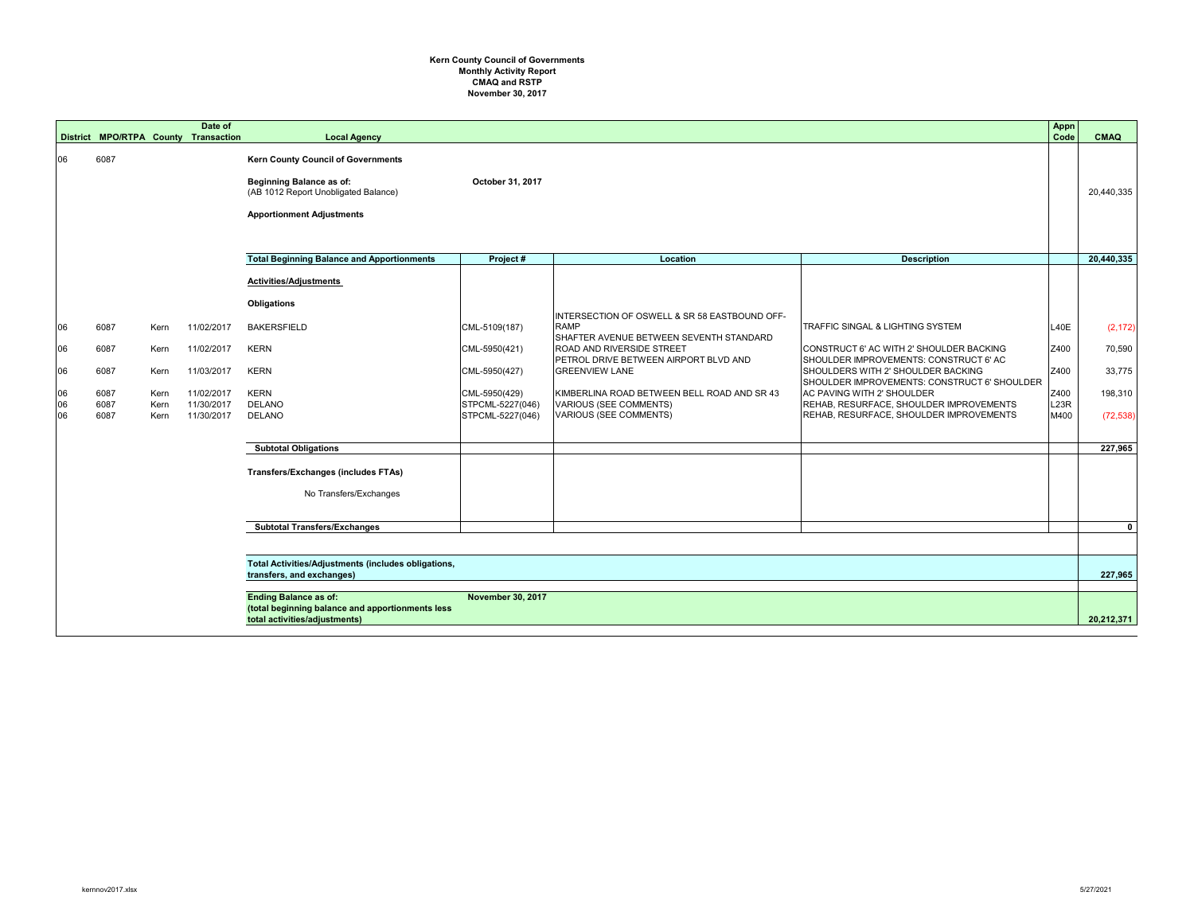## **Kern County Council of Governments Monthly Activity Report CMAQ and RSTP November 30, 2017**

|          |              |              | Date of<br>District MPO/RTPA County Transaction | <b>Local Agency</b>                                                                                                                                      |                                     |                                                                                                         |                                                                                    | Appn<br>Code | <b>CMAQ</b>  |
|----------|--------------|--------------|-------------------------------------------------|----------------------------------------------------------------------------------------------------------------------------------------------------------|-------------------------------------|---------------------------------------------------------------------------------------------------------|------------------------------------------------------------------------------------|--------------|--------------|
| 06       | 6087         |              |                                                 | <b>Kern County Council of Governments</b><br><b>Beginning Balance as of:</b><br>(AB 1012 Report Unobligated Balance)<br><b>Apportionment Adjustments</b> | October 31, 2017                    |                                                                                                         |                                                                                    |              | 20,440,335   |
|          |              |              |                                                 | <b>Total Beginning Balance and Apportionments</b>                                                                                                        | Project#                            | Location                                                                                                | <b>Description</b>                                                                 |              | 20,440,335   |
|          |              |              |                                                 | <b>Activities/Adjustments</b><br><b>Obligations</b>                                                                                                      |                                     |                                                                                                         |                                                                                    |              |              |
| 06       | 6087         | Kern         | 11/02/2017                                      | <b>BAKERSFIELD</b>                                                                                                                                       | CML-5109(187)                       | INTERSECTION OF OSWELL & SR 58 EASTBOUND OFF-<br><b>RAMP</b><br>SHAFTER AVENUE BETWEEN SEVENTH STANDARD | TRAFFIC SINGAL & LIGHTING SYSTEM                                                   | L40E         | (2, 172)     |
| 06       | 6087         | Kern         | 11/02/2017                                      | <b>KERN</b>                                                                                                                                              | CML-5950(421)                       | <b>ROAD AND RIVERSIDE STREET</b><br>PETROL DRIVE BETWEEN AIRPORT BLVD AND                               | CONSTRUCT 6' AC WITH 2' SHOULDER BACKING<br>SHOULDER IMPROVEMENTS: CONSTRUCT 6' AC | Z400         | 70,590       |
| 06       | 6087         | Kern         | 11/03/2017                                      | <b>KERN</b>                                                                                                                                              | CML-5950(427)                       | <b>GREENVIEW LANE</b>                                                                                   | SHOULDERS WITH 2' SHOULDER BACKING<br>SHOULDER IMPROVEMENTS: CONSTRUCT 6' SHOULDER | Z400         | 33,775       |
| 06<br>06 | 6087<br>6087 | Kern<br>Kern | 11/02/2017<br>11/30/2017                        | <b>KERN</b><br><b>DELANO</b>                                                                                                                             | $CML-5950(429)$<br>STPCML-5227(046) | KIMBERLINA ROAD BETWEEN BELL ROAD AND SR 43<br>VARIOUS (SEE COMMENTS)                                   | AC PAVING WITH 2' SHOULDER<br>REHAB, RESURFACE, SHOULDER IMPROVEMENTS              | Z400<br>L23R | 198,310      |
| 06       | 6087         | Kern         | 11/30/2017                                      | <b>DELANO</b>                                                                                                                                            | STPCML-5227(046)                    | VARIOUS (SEE COMMENTS)                                                                                  | REHAB, RESURFACE, SHOULDER IMPROVEMENTS                                            | M400         | (72, 538)    |
|          |              |              |                                                 | <b>Subtotal Obligations</b>                                                                                                                              |                                     |                                                                                                         |                                                                                    |              | 227,965      |
|          |              |              |                                                 | <b>Transfers/Exchanges (includes FTAs)</b>                                                                                                               |                                     |                                                                                                         |                                                                                    |              |              |
|          |              |              |                                                 | No Transfers/Exchanges                                                                                                                                   |                                     |                                                                                                         |                                                                                    |              |              |
|          |              |              |                                                 | <b>Subtotal Transfers/Exchanges</b>                                                                                                                      |                                     |                                                                                                         |                                                                                    |              | $\mathbf{0}$ |
|          |              |              |                                                 |                                                                                                                                                          |                                     |                                                                                                         |                                                                                    |              |              |
|          |              |              |                                                 | Total Activities/Adjustments (includes obligations,<br>transfers, and exchanges)                                                                         |                                     |                                                                                                         |                                                                                    |              | 227,965      |
|          |              |              |                                                 | <b>Ending Balance as of:</b><br>(total beginning balance and apportionments less<br>total activities/adjustments)                                        | <b>November 30, 2017</b>            |                                                                                                         |                                                                                    |              | 20,212,371   |